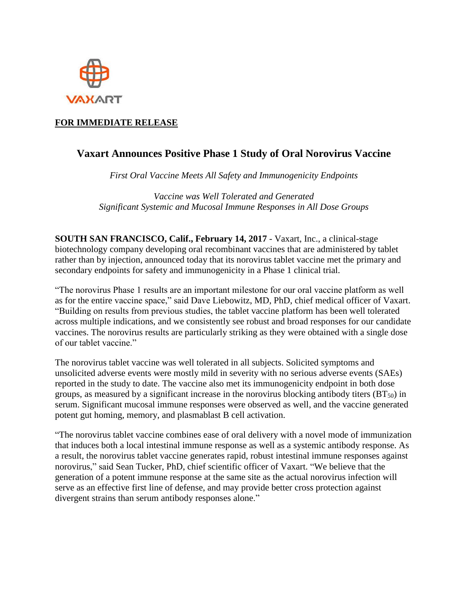

## **FOR IMMEDIATE RELEASE**

# **Vaxart Announces Positive Phase 1 Study of Oral Norovirus Vaccine**

*First Oral Vaccine Meets All Safety and Immunogenicity Endpoints*

*Vaccine was Well Tolerated and Generated Significant Systemic and Mucosal Immune Responses in All Dose Groups*

**SOUTH SAN FRANCISCO, Calif., February 14, 2017** - Vaxart, Inc., a clinical-stage biotechnology company developing oral recombinant vaccines that are administered by tablet rather than by injection, announced today that its norovirus tablet vaccine met the primary and secondary endpoints for safety and immunogenicity in a Phase 1 clinical trial.

"The norovirus Phase 1 results are an important milestone for our oral vaccine platform as well as for the entire vaccine space," said Dave Liebowitz, MD, PhD, chief medical officer of Vaxart. "Building on results from previous studies, the tablet vaccine platform has been well tolerated across multiple indications, and we consistently see robust and broad responses for our candidate vaccines. The norovirus results are particularly striking as they were obtained with a single dose of our tablet vaccine."

The norovirus tablet vaccine was well tolerated in all subjects. Solicited symptoms and unsolicited adverse events were mostly mild in severity with no serious adverse events (SAEs) reported in the study to date. The vaccine also met its immunogenicity endpoint in both dose groups, as measured by a significant increase in the norovirus blocking antibody titers  $(BT_{50})$  in serum. Significant mucosal immune responses were observed as well, and the vaccine generated potent gut homing, memory, and plasmablast B cell activation.

"The norovirus tablet vaccine combines ease of oral delivery with a novel mode of immunization that induces both a local intestinal immune response as well as a systemic antibody response. As a result, the norovirus tablet vaccine generates rapid, robust intestinal immune responses against norovirus," said Sean Tucker, PhD, chief scientific officer of Vaxart. "We believe that the generation of a potent immune response at the same site as the actual norovirus infection will serve as an effective first line of defense, and may provide better cross protection against divergent strains than serum antibody responses alone."